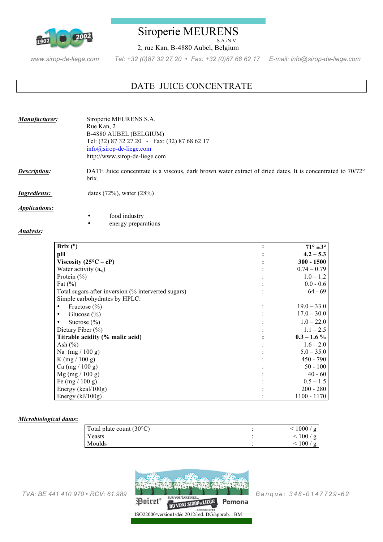

## Siroperie MEURENS S.A /N.V

2, rue Kan, B-4880 Aubel, Belgium

*www.sirop-de-liege.com Tel: +32 (0)87 32 27 20 • Fax: +32 (0)87 68 62 17 E-mail: info@sirop-de-liege.com*

# DATE JUICE CONCENTRATE

| Manufacturer:       | Siroperie MEURENS S.A.<br>Rue Kan, 2<br>B-4880 AUBEL (BELGIUM)<br>Tel: (32) 87 32 27 20 - Fax: (32) 87 68 62 17<br>$info@sirop-de-liege.com$<br>http://www.sirop-de-liege.com |
|---------------------|-------------------------------------------------------------------------------------------------------------------------------------------------------------------------------|
| <b>Description:</b> | DATE Juice concentrate is a viscous, dark brown water extract of dried dates. It is concentrated to 70/72°<br>brix.                                                           |
| <i>Ingredients:</i> | dates $(72\%)$ , water $(28\%)$                                                                                                                                               |

*Applications:* 

food industry

energy preparations

### *Analysis:*

| Brix $(°)$                                          | $71^\circ \pm 3^\circ$ |
|-----------------------------------------------------|------------------------|
| pН                                                  | $4.2 - 5.3$            |
| Viscosity $(25^{\circ}C - cP)$                      | $300 - 1500$           |
| Water activity $(a_w)$                              | $0.74 - 0.79$          |
| Protein $(\% )$                                     | $1.0 - 1.2$            |
| Fat $(\% )$                                         | $0.0 - 0.6$            |
| Total sugars after inversion (% interverted sugars) | $64 - 69$              |
| Simple carbohydrates by HPLC:                       |                        |
| Fructose $(\% )$<br>٠                               | $19.0 - 33.0$          |
| Glucose $(\%)$<br>٠                                 | $17.0 - 30.0$          |
| Sucrose $(\% )$                                     | $1.0 - 22.0$           |
| Dietary Fiber $(\% )$                               | $1.1 - 2.5$            |
| Titrable acidity (% malic acid)                     | $0.3 - 1.6 \%$         |
| Ash $(\% )$                                         | $1.6 - 2.0$            |
| Na $(mg / 100 g)$                                   | $5.0 - 35.0$           |
| K $(mg / 100 g)$                                    | $450 - 790$            |
| Ca (mg / 100 g)                                     | $50 - 100$             |
| $Mg$ (mg / 100 g)                                   | $40 - 60$              |
| Fe $(mg / 100 g)$                                   | $0.5 - 1.5$            |
| Energy ( $kcal/100g$ )                              | $200 - 280$            |
| Energy $(kJ/100g)$                                  | $1100 - 1170$          |

### *Microbiological datas***:**

| Total plate count $(30^{\circ}C)$ | < 1000/g  |
|-----------------------------------|-----------|
| <b>Yeasts</b>                     | < 100 / g |
| Moulds                            | < 100 / g |